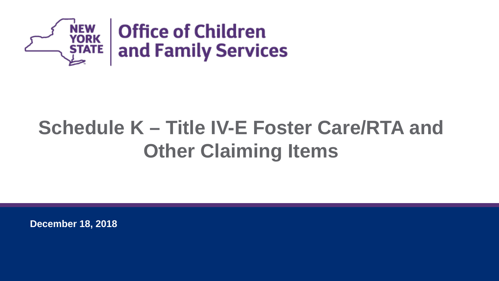

## **Schedule K – Title IV-E Foster Care/RTA and Other Claiming Items**

**December 18, 2018**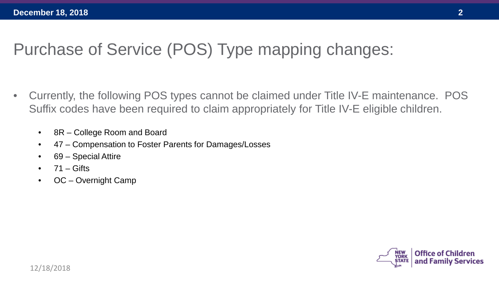## Purchase of Service (POS) Type mapping changes:

- Currently, the following POS types cannot be claimed under Title IV-E maintenance. POS Suffix codes have been required to claim appropriately for Title IV-E eligible children.
	- 8R College Room and Board
	- 47 Compensation to Foster Parents for Damages/Losses
	- 69 Special Attire
	- $71 -$  Gifts
	- OC Overnight Camp

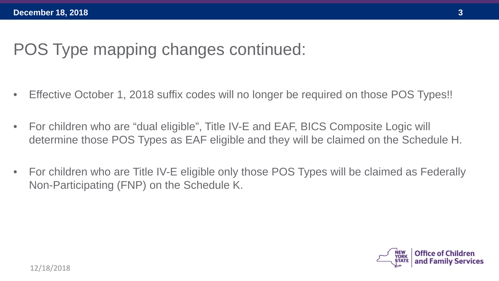- Effective October 1, 2018 suffix codes will no longer be required on those POS Types!!
- For children who are "dual eligible", Title IV-E and EAF, BICS Composite Logic will determine those POS Types as EAF eligible and they will be claimed on the Schedule H.
- For children who are Title IV-E eligible only those POS Types will be claimed as Federally Non-Participating (FNP) on the Schedule K.

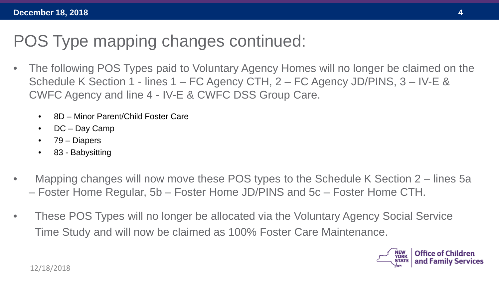- The following POS Types paid to Voluntary Agency Homes will no longer be claimed on the Schedule K Section 1 - lines 1 – FC Agency CTH, 2 – FC Agency JD/PINS, 3 – IV-E & CWFC Agency and line 4 - IV-E & CWFC DSS Group Care.
	- 8D Minor Parent/Child Foster Care
	- DC Day Camp
	- 79 Diapers
	- 83 Babysitting
- Mapping changes will now move these POS types to the Schedule K Section 2 lines 5a – Foster Home Regular, 5b – Foster Home JD/PINS and 5c – Foster Home CTH.
- These POS Types will no longer be allocated via the Voluntary Agency Social Service Time Study and will now be claimed as 100% Foster Care Maintenance.

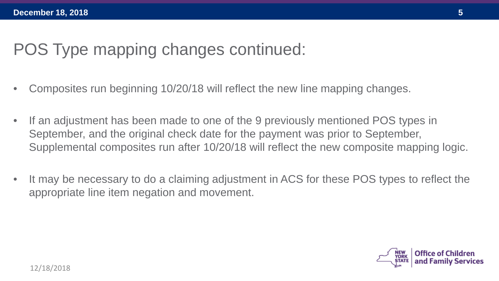- Composites run beginning 10/20/18 will reflect the new line mapping changes.
- If an adjustment has been made to one of the 9 previously mentioned POS types in September, and the original check date for the payment was prior to September, Supplemental composites run after 10/20/18 will reflect the new composite mapping logic.
- It may be necessary to do a claiming adjustment in ACS for these POS types to reflect the appropriate line item negation and movement.

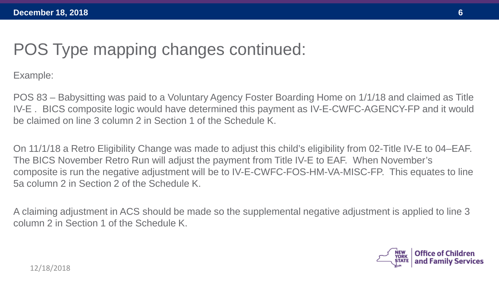Example:

POS 83 – Babysitting was paid to a Voluntary Agency Foster Boarding Home on 1/1/18 and claimed as Title IV-E . BICS composite logic would have determined this payment as IV-E-CWFC-AGENCY-FP and it would be claimed on line 3 column 2 in Section 1 of the Schedule K.

On 11/1/18 a Retro Eligibility Change was made to adjust this child's eligibility from 02-Title IV-E to 04–EAF. The BICS November Retro Run will adjust the payment from Title IV-E to EAF. When November's composite is run the negative adjustment will be to IV-E-CWFC-FOS-HM-VA-MISC-FP. This equates to line 5a column 2 in Section 2 of the Schedule K.

A claiming adjustment in ACS should be made so the supplemental negative adjustment is applied to line 3 column 2 in Section 1 of the Schedule K.

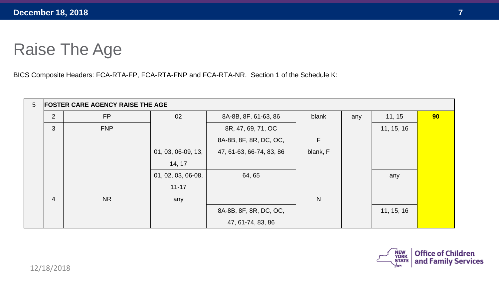## Raise The Age

BICS Composite Headers: FCA-RTA-FP, FCA-RTA-FNP and FCA-RTA-NR. Section 1 of the Schedule K:

| $5\phantom{.0}$ | <b>FOSTER CARE AGENCY RAISE THE AGE</b> |            |                    |                          |              |     |            |    |  |  |
|-----------------|-----------------------------------------|------------|--------------------|--------------------------|--------------|-----|------------|----|--|--|
|                 | $\overline{2}$                          | <b>FP</b>  | 02                 | 8A-8B, 8F, 61-63, 86     | blank        | any | 11, 15     | 90 |  |  |
|                 | 3                                       | <b>FNP</b> |                    | 8R, 47, 69, 71, OC       |              |     | 11, 15, 16 |    |  |  |
|                 |                                         |            |                    | 8A-8B, 8F, 8R, DC, OC,   | F            |     |            |    |  |  |
|                 |                                         |            | 01, 03, 06-09, 13, | 47, 61-63, 66-74, 83, 86 | blank, F     |     |            |    |  |  |
|                 |                                         |            | 14, 17             |                          |              |     |            |    |  |  |
|                 |                                         |            | 01, 02, 03, 06-08, | 64, 65                   |              |     | any        |    |  |  |
|                 |                                         |            | $11 - 17$          |                          |              |     |            |    |  |  |
|                 | $\overline{4}$                          | <b>NR</b>  | any                |                          | $\mathsf{N}$ |     |            |    |  |  |
|                 |                                         |            |                    | 8A-8B, 8F, 8R, DC, OC,   |              |     | 11, 15, 16 |    |  |  |
|                 |                                         |            |                    | 47, 61-74, 83, 86        |              |     |            |    |  |  |

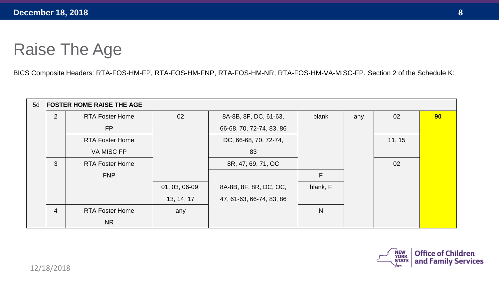## Raise The Age

BICS Composite Headers: RTA-FOS-HM-FP, RTA-FOS-HM-FNP, RTA-FOS-HM-NR, RTA-FOS-HM-VA-MISC-FP. Section 2 of the Schedule K:

| 5d | <b>FOSTER HOME RAISE THE AGE</b> |                        |                  |                          |              |     |        |    |  |
|----|----------------------------------|------------------------|------------------|--------------------------|--------------|-----|--------|----|--|
|    | 2                                | <b>RTA Foster Home</b> | 02               | 8A-8B, 8F, DC, 61-63,    | blank        | any | 02     | 90 |  |
|    |                                  | <b>FP</b>              |                  | 66-68, 70, 72-74, 83, 86 |              |     |        |    |  |
|    |                                  | <b>RTA Foster Home</b> |                  | DC, 66-68, 70, 72-74,    |              |     | 11, 15 |    |  |
|    |                                  | VA MISC FP             |                  | 83                       |              |     |        |    |  |
|    | 3                                | <b>RTA Foster Home</b> |                  | 8R, 47, 69, 71, OC       |              |     | 02     |    |  |
|    |                                  | <b>FNP</b>             |                  |                          | F            |     |        |    |  |
|    |                                  |                        | $01, 03, 06-09,$ | 8A-8B, 8F, 8R, DC, OC,   | blank, F     |     |        |    |  |
|    |                                  |                        | 13, 14, 17       | 47, 61-63, 66-74, 83, 86 |              |     |        |    |  |
|    | $\overline{4}$                   | <b>RTA Foster Home</b> | any              |                          | $\mathsf{N}$ |     |        |    |  |
|    |                                  | <b>NR</b>              |                  |                          |              |     |        |    |  |

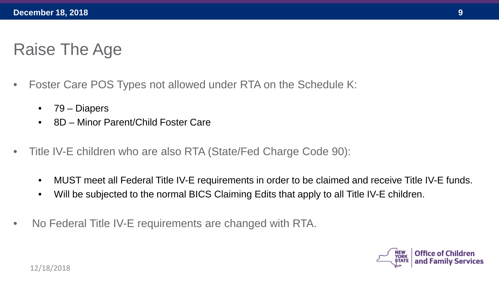## Raise The Age

- Foster Care POS Types not allowed under RTA on the Schedule K:
	- 79 Diapers
	- 8D Minor Parent/Child Foster Care
- Title IV-E children who are also RTA (State/Fed Charge Code 90):
	- MUST meet all Federal Title IV-E requirements in order to be claimed and receive Title IV-E funds.
	- Will be subjected to the normal BICS Claiming Edits that apply to all Title IV-E children.
- No Federal Title IV-E requirements are changed with RTA.

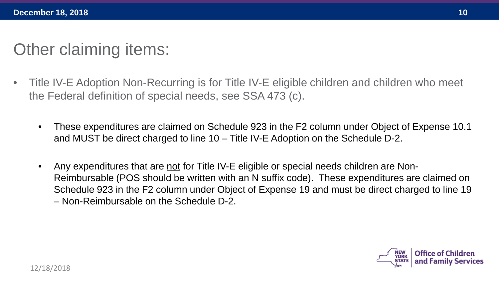## Other claiming items:

- Title IV-E Adoption Non-Recurring is for Title IV-E eligible children and children who meet the Federal definition of special needs, see SSA 473 (c).
	- These expenditures are claimed on Schedule 923 in the F2 column under Object of Expense 10.1 and MUST be direct charged to line 10 – Title IV-E Adoption on the Schedule D-2.
	- Any expenditures that are not for Title IV-E eligible or special needs children are Non-Reimbursable (POS should be written with an N suffix code). These expenditures are claimed on Schedule 923 in the F2 column under Object of Expense 19 and must be direct charged to line 19 – Non-Reimbursable on the Schedule D-2.

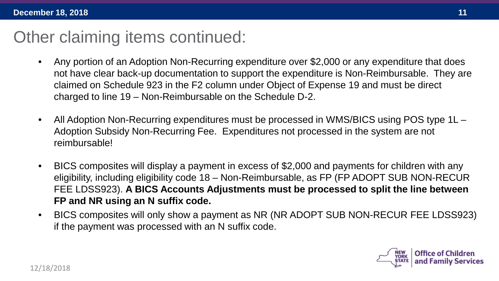- Any portion of an Adoption Non-Recurring expenditure over \$2,000 or any expenditure that does not have clear back-up documentation to support the expenditure is Non-Reimbursable. They are claimed on Schedule 923 in the F2 column under Object of Expense 19 and must be direct charged to line 19 – Non-Reimbursable on the Schedule D-2.
- All Adoption Non-Recurring expenditures must be processed in WMS/BICS using POS type 1L Adoption Subsidy Non-Recurring Fee. Expenditures not processed in the system are not reimbursable!
- BICS composites will display a payment in excess of \$2,000 and payments for children with any eligibility, including eligibility code 18 – Non-Reimbursable, as FP (FP ADOPT SUB NON-RECUR FEE LDSS923). **A BICS Accounts Adjustments must be processed to split the line between FP and NR using an N suffix code.**
- BICS composites will only show a payment as NR (NR ADOPT SUB NON-RECUR FEE LDSS923) if the payment was processed with an N suffix code.

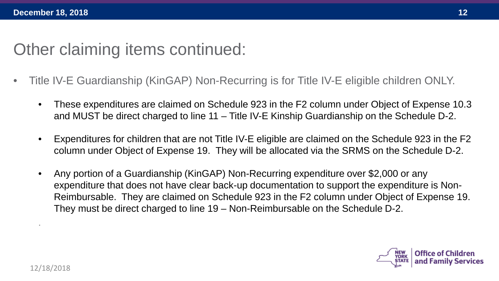- Title IV-E Guardianship (KinGAP) Non-Recurring is for Title IV-E eligible children ONLY.
	- These expenditures are claimed on Schedule 923 in the F2 column under Object of Expense 10.3 and MUST be direct charged to line 11 – Title IV-E Kinship Guardianship on the Schedule D-2.
	- Expenditures for children that are not Title IV-E eligible are claimed on the Schedule 923 in the F2 column under Object of Expense 19. They will be allocated via the SRMS on the Schedule D-2.
	- Any portion of a Guardianship (KinGAP) Non-Recurring expenditure over \$2,000 or any expenditure that does not have clear back-up documentation to support the expenditure is Non-Reimbursable. They are claimed on Schedule 923 in the F2 column under Object of Expense 19. They must be direct charged to line 19 – Non-Reimbursable on the Schedule D-2.



.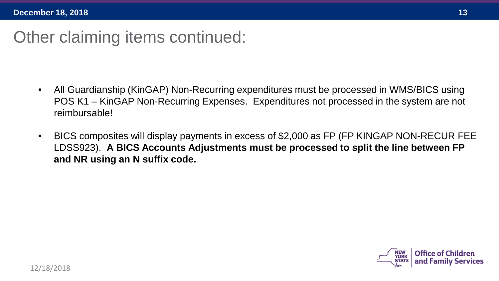- All Guardianship (KinGAP) Non-Recurring expenditures must be processed in WMS/BICS using POS K1 – KinGAP Non-Recurring Expenses. Expenditures not processed in the system are not reimbursable!
- BICS composites will display payments in excess of \$2,000 as FP (FP KINGAP NON-RECUR FEE LDSS923). **A BICS Accounts Adjustments must be processed to split the line between FP and NR using an N suffix code.**

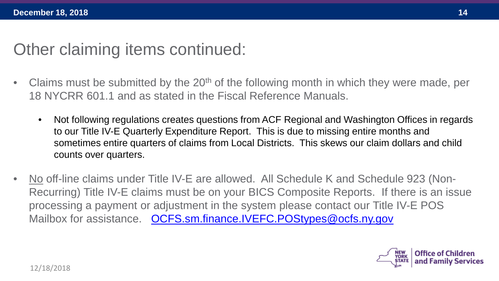- Claims must be submitted by the  $20<sup>th</sup>$  of the following month in which they were made, per 18 NYCRR 601.1 and as stated in the Fiscal Reference Manuals.
	- Not following regulations creates questions from ACF Regional and Washington Offices in regards to our Title IV-E Quarterly Expenditure Report. This is due to missing entire months and sometimes entire quarters of claims from Local Districts. This skews our claim dollars and child counts over quarters.
- No off-line claims under Title IV-E are allowed. All Schedule K and Schedule 923 (Non-Recurring) Title IV-E claims must be on your BICS Composite Reports. If there is an issue processing a payment or adjustment in the system please contact our Title IV-E POS Mailbox for assistance. [OCFS.sm.finance.IVEFC.POStypes@ocfs.ny.gov](mailto:OCFS.sm.finance.IVEFC.POStypes@ocfs.ny.gov)

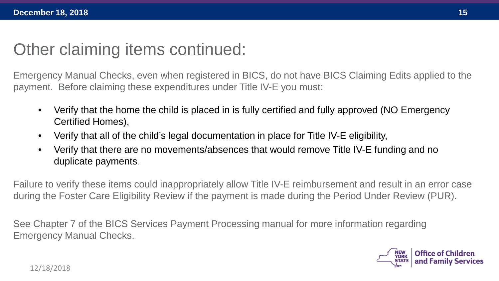Emergency Manual Checks, even when registered in BICS, do not have BICS Claiming Edits applied to the payment. Before claiming these expenditures under Title IV-E you must:

- Verify that the home the child is placed in is fully certified and fully approved (NO Emergency Certified Homes),
- Verify that all of the child's legal documentation in place for Title IV-E eligibility,
- Verify that there are no movements/absences that would remove Title IV-E funding and no duplicate payments.

Failure to verify these items could inappropriately allow Title IV-E reimbursement and result in an error case during the Foster Care Eligibility Review if the payment is made during the Period Under Review (PUR).

See Chapter 7 of the BICS Services Payment Processing manual for more information regarding Emergency Manual Checks.

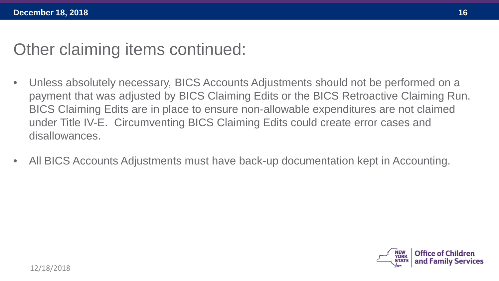- Unless absolutely necessary, BICS Accounts Adjustments should not be performed on a payment that was adjusted by BICS Claiming Edits or the BICS Retroactive Claiming Run. BICS Claiming Edits are in place to ensure non-allowable expenditures are not claimed under Title IV-E. Circumventing BICS Claiming Edits could create error cases and disallowances.
- All BICS Accounts Adjustments must have back-up documentation kept in Accounting.